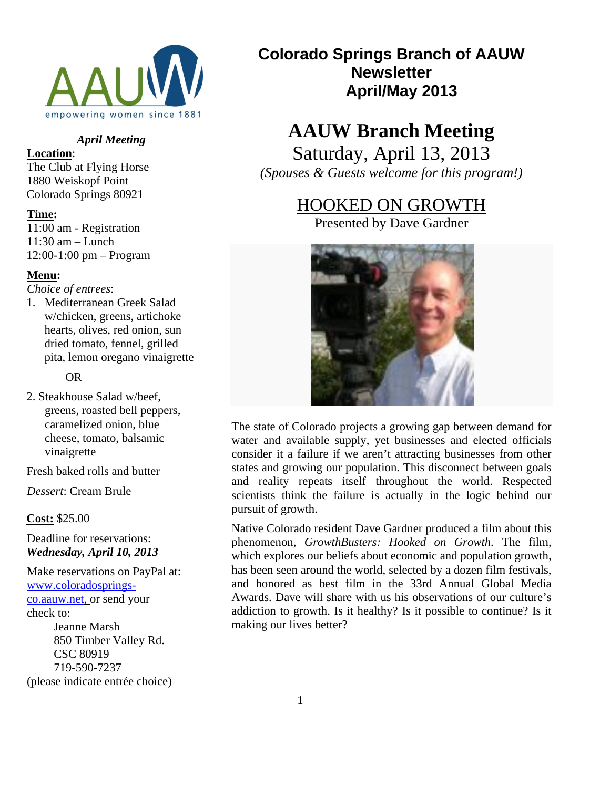

### *April Meeting*

### **Location**:

The Club at Flying Horse 1880 Weiskopf Point Colorado Springs 80921

#### **Time:**

11:00 am - Registration 11:30 am – Lunch 12:00-1:00 pm – Program

#### **Menu:**

*Choice of entrees*:

1. Mediterranean Greek Salad w/chicken, greens, artichoke hearts, olives, red onion, sun dried tomato, fennel, grilled pita, lemon oregano vinaigrette

OR

2. Steakhouse Salad w/beef, greens, roasted bell peppers, caramelized onion, blue cheese, tomato, balsamic vinaigrette

Fresh baked rolls and butter

*Dessert*: Cream Brule

**Cost:** \$25.00

Deadline for reservations: *Wednesday, April 10, 2013* 

Make reservations on PayPal at: www.coloradospringsco.aauw.net, or send your check to: Jeanne Marsh 850 Timber Valley Rd. CSC 80919 719-590-7237 (please indicate entrée choice)

# **Colorado Springs Branch of AAUW Newsletter April/May 2013**

# **AAUW Branch Meeting**

Saturday, April 13, 2013 *(Spouses & Guests welcome for this program!)* 

# HOOKED ON GROWTH

Presented by Dave Gardner



The state of Colorado projects a growing gap between demand for water and available supply, yet businesses and elected officials consider it a failure if we aren't attracting businesses from other states and growing our population. This disconnect between goals and reality repeats itself throughout the world. Respected scientists think the failure is actually in the logic behind our pursuit of growth.

Native Colorado resident Dave Gardner produced a film about this phenomenon, *GrowthBusters: Hooked on Growth*. The film, which explores our beliefs about economic and population growth, has been seen around the world, selected by a dozen film festivals, and honored as best film in the 33rd Annual Global Media Awards. Dave will share with us his observations of our culture's addiction to growth. Is it healthy? Is it possible to continue? Is it making our lives better?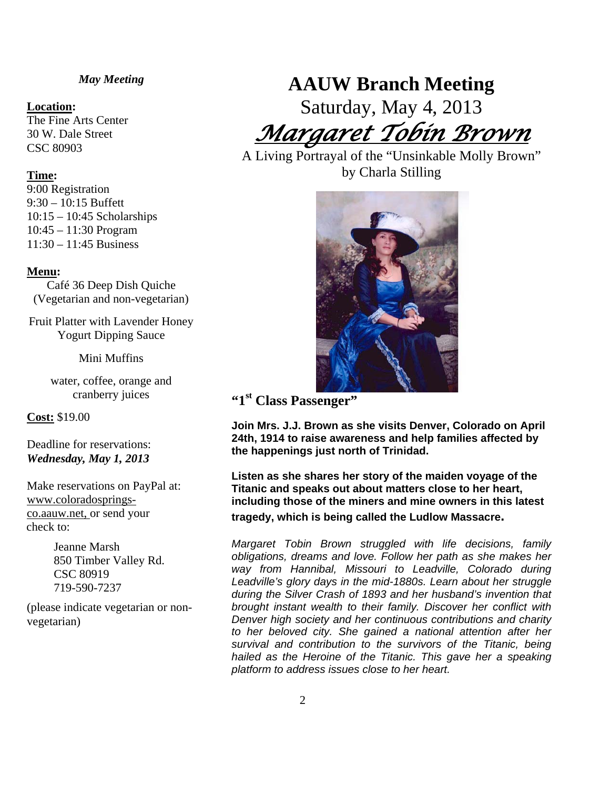#### *May Meeting*

#### **Location:**

The Fine Arts Center 30 W. Dale Street CSC 80903

#### **Time:**

9:00 Registration 9:30 – 10:15 Buffett 10:15 – 10:45 Scholarships 10:45 – 11:30 Program 11:30 – 11:45 Business

#### **Menu:**

Café 36 Deep Dish Quiche (Vegetarian and non-vegetarian)

Fruit Platter with Lavender Honey Yogurt Dipping Sauce

Mini Muffins

water, coffee, orange and cranberry juices

**Cost:** \$19.00

Deadline for reservations: *Wednesday, May 1, 2013* 

Make reservations on PayPal at: www.coloradospringsco.aauw.net, or send your check to:

> Jeanne Marsh 850 Timber Valley Rd. CSC 80919 719-590-7237

(please indicate vegetarian or nonvegetarian)

# **AAUW Branch Meeting**

Saturday, May 4, 2013

*Margaret Tobin Brown* 

A Living Portrayal of the "Unsinkable Molly Brown" by Charla Stilling



**"1st Class Passenger"** 

**Join Mrs. J.J. Brown as she visits Denver, Colorado on April 24th, 1914 to raise awareness and help families affected by the happenings just north of Trinidad.** 

**Listen as she shares her story of the maiden voyage of the Titanic and speaks out about matters close to her heart, including those of the miners and mine owners in this latest tragedy, which is being called the Ludlow Massacre.** 

*Margaret Tobin Brown struggled with life decisions, family obligations, dreams and love. Follow her path as she makes her way from Hannibal, Missouri to Leadville, Colorado during Leadville's glory days in the mid-1880s. Learn about her struggle during the Silver Crash of 1893 and her husband's invention that brought instant wealth to their family. Discover her conflict with Denver high society and her continuous contributions and charity to her beloved city. She gained a national attention after her survival and contribution to the survivors of the Titanic, being hailed as the Heroine of the Titanic. This gave her a speaking platform to address issues close to her heart.*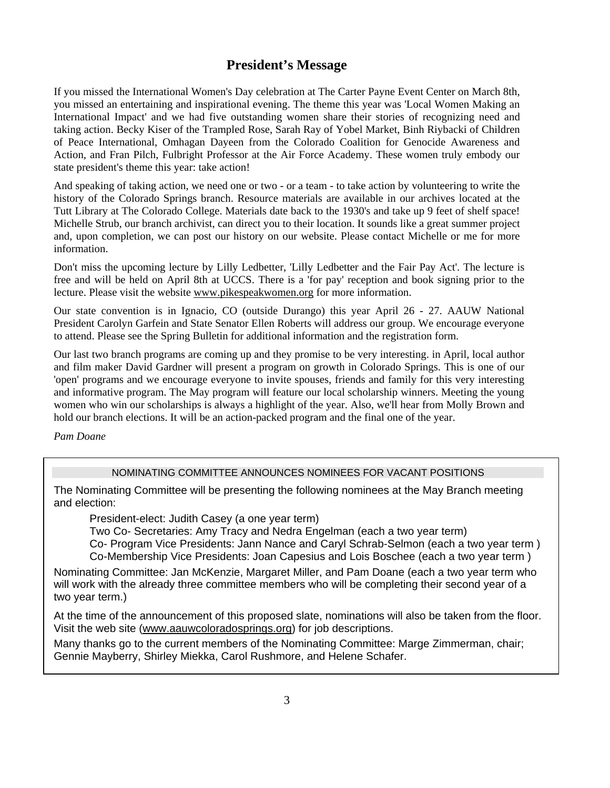# **President's Message**

If you missed the International Women's Day celebration at The Carter Payne Event Center on March 8th, you missed an entertaining and inspirational evening. The theme this year was 'Local Women Making an International Impact' and we had five outstanding women share their stories of recognizing need and taking action. Becky Kiser of the Trampled Rose, Sarah Ray of Yobel Market, Binh Riybacki of Children of Peace International, Omhagan Dayeen from the Colorado Coalition for Genocide Awareness and Action, and Fran Pilch, Fulbright Professor at the Air Force Academy. These women truly embody our state president's theme this year: take action!

And speaking of taking action, we need one or two - or a team - to take action by volunteering to write the history of the Colorado Springs branch. Resource materials are available in our archives located at the Tutt Library at The Colorado College. Materials date back to the 1930's and take up 9 feet of shelf space! Michelle Strub, our branch archivist, can direct you to their location. It sounds like a great summer project and, upon completion, we can post our history on our website. Please contact Michelle or me for more information.

Don't miss the upcoming lecture by Lilly Ledbetter, 'Lilly Ledbetter and the Fair Pay Act'. The lecture is free and will be held on April 8th at UCCS. There is a 'for pay' reception and book signing prior to the lecture. Please visit the website www.pikespeakwomen.org for more information.

Our state convention is in Ignacio, CO (outside Durango) this year April 26 - 27. AAUW National President Carolyn Garfein and State Senator Ellen Roberts will address our group. We encourage everyone to attend. Please see the Spring Bulletin for additional information and the registration form.

Our last two branch programs are coming up and they promise to be very interesting. in April, local author and film maker David Gardner will present a program on growth in Colorado Springs. This is one of our 'open' programs and we encourage everyone to invite spouses, friends and family for this very interesting and informative program. The May program will feature our local scholarship winners. Meeting the young women who win our scholarships is always a highlight of the year. Also, we'll hear from Molly Brown and hold our branch elections. It will be an action-packed program and the final one of the year.

*Pam Doane* 

## NOMINATING COMMITTEE ANNOUNCES NOMINEES FOR VACANT POSITIONS

The Nominating Committee will be presenting the following nominees at the May Branch meeting and election:

President-elect: Judith Casey (a one year term)

Two Co- Secretaries: Amy Tracy and Nedra Engelman (each a two year term)

Co- Program Vice Presidents: Jann Nance and Caryl Schrab-Selmon (each a two year term ) Co-Membership Vice Presidents: Joan Capesius and Lois Boschee (each a two year term )

Nominating Committee: Jan McKenzie, Margaret Miller, and Pam Doane (each a two year term who will work with the already three committee members who will be completing their second year of a two year term.)

At the time of the announcement of this proposed slate, nominations will also be taken from the floor. Visit the web site (www.aauwcoloradosprings.org) for job descriptions.

Many thanks go to the current members of the Nominating Committee: Marge Zimmerman, chair; Gennie Mayberry, Shirley Miekka, Carol Rushmore, and Helene Schafer.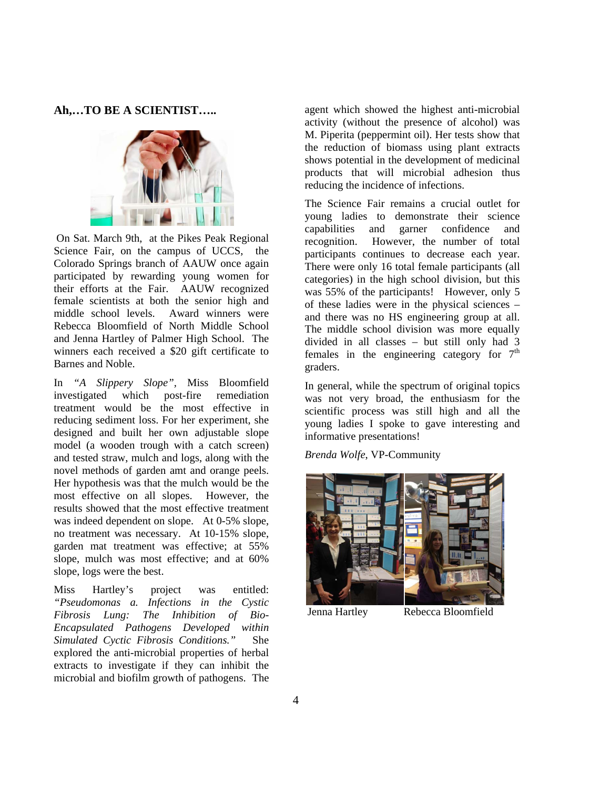**Ah,…TO BE A SCIENTIST…..** 



 On Sat. March 9th, at the Pikes Peak Regional Science Fair, on the campus of UCCS, the Colorado Springs branch of AAUW once again participated by rewarding young women for their efforts at the Fair. AAUW recognized female scientists at both the senior high and middle school levels. Award winners were Rebecca Bloomfield of North Middle School and Jenna Hartley of Palmer High School. The winners each received a \$20 gift certificate to Barnes and Noble.

In *"A Slippery Slope",* Miss Bloomfield investigated which post-fire remediation treatment would be the most effective in reducing sediment loss. For her experiment, she designed and built her own adjustable slope model (a wooden trough with a catch screen) and tested straw, mulch and logs, along with the novel methods of garden amt and orange peels. Her hypothesis was that the mulch would be the most effective on all slopes. However, the results showed that the most effective treatment was indeed dependent on slope. At 0-5% slope, no treatment was necessary. At 10-15% slope, garden mat treatment was effective; at 55% slope, mulch was most effective; and at 60% slope, logs were the best.

Miss Hartley's project was entitled: *"Pseudomonas a. Infections in the Cystic Fibrosis Lung: The Inhibition of Bio-Encapsulated Pathogens Developed within Simulated Cyctic Fibrosis Conditions."* She explored the anti-microbial properties of herbal extracts to investigate if they can inhibit the microbial and biofilm growth of pathogens. The

agent which showed the highest anti-microbial activity (without the presence of alcohol) was M. Piperita (peppermint oil). Her tests show that the reduction of biomass using plant extracts shows potential in the development of medicinal products that will microbial adhesion thus reducing the incidence of infections.

The Science Fair remains a crucial outlet for young ladies to demonstrate their science capabilities and garner confidence and recognition. However, the number of total participants continues to decrease each year. There were only 16 total female participants (all categories) in the high school division, but this was 55% of the participants! However, only 5 of these ladies were in the physical sciences – and there was no HS engineering group at all. The middle school division was more equally divided in all classes – but still only had 3 females in the engineering category for  $7<sup>th</sup>$ graders.

In general, while the spectrum of original topics was not very broad, the enthusiasm for the scientific process was still high and all the young ladies I spoke to gave interesting and informative presentations!

*Brenda Wolfe*, VP-Community



Jenna Hartley Rebecca Bloomfield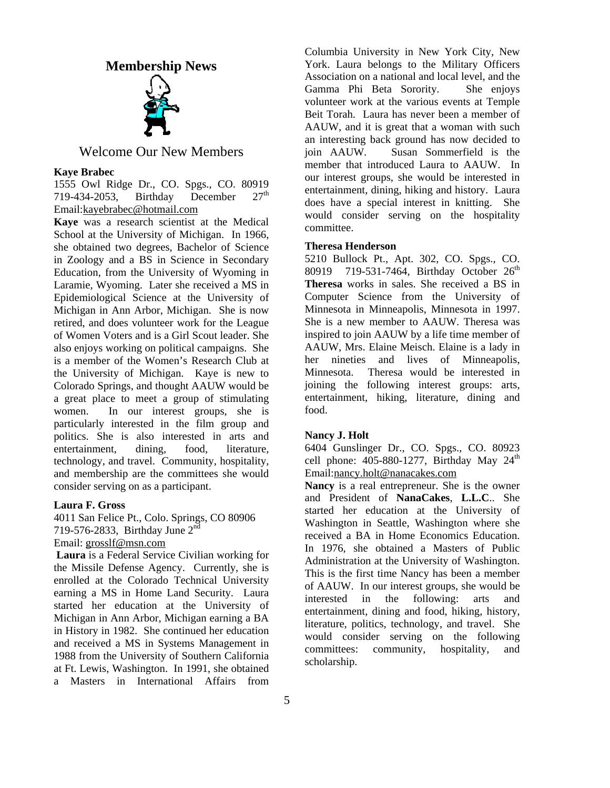### **Membership News**



## Welcome Our New Members

#### **Kaye Brabec**

1555 Owl Ridge Dr., CO. Spgs., CO. 80919 719-434-2053, Birthday December  $27<sup>th</sup>$ Email:kayebrabec@hotmail.com

**Kaye** was a research scientist at the Medical School at the University of Michigan. In 1966, she obtained two degrees, Bachelor of Science in Zoology and a BS in Science in Secondary Education, from the University of Wyoming in Laramie, Wyoming. Later she received a MS in Epidemiological Science at the University of Michigan in Ann Arbor, Michigan. She is now retired, and does volunteer work for the League of Women Voters and is a Girl Scout leader. She also enjoys working on political campaigns. She is a member of the Women's Research Club at the University of Michigan. Kaye is new to Colorado Springs, and thought AAUW would be a great place to meet a group of stimulating women. In our interest groups, she is particularly interested in the film group and politics. She is also interested in arts and entertainment, dining, food, literature, technology, and travel. Community, hospitality, and membership are the committees she would consider serving on as a participant.

#### **Laura F. Gross**

4011 San Felice Pt., Colo. Springs, CO 80906 719-576-2833, Birthday June  $2<sup>nd</sup>$ Email: grosslf@msn.com

**Laura** is a Federal Service Civilian working for the Missile Defense Agency. Currently, she is enrolled at the Colorado Technical University earning a MS in Home Land Security. Laura started her education at the University of Michigan in Ann Arbor, Michigan earning a BA in History in 1982. She continued her education and received a MS in Systems Management in 1988 from the University of Southern California at Ft. Lewis, Washington. In 1991, she obtained a Masters in International Affairs from

Columbia University in New York City, New York. Laura belongs to the Military Officers Association on a national and local level, and the Gamma Phi Beta Sorority. She enjoys volunteer work at the various events at Temple Beit Torah. Laura has never been a member of AAUW, and it is great that a woman with such an interesting back ground has now decided to join AAUW. Susan Sommerfield is the member that introduced Laura to AAUW. In our interest groups, she would be interested in entertainment, dining, hiking and history. Laura does have a special interest in knitting. She would consider serving on the hospitality committee.

#### **Theresa Henderson**

5210 Bullock Pt., Apt. 302, CO. Spgs., CO. 80919 719-531-7464, Birthday October 26<sup>th</sup> **Theresa** works in sales. She received a BS in Computer Science from the University of Minnesota in Minneapolis, Minnesota in 1997. She is a new member to AAUW. Theresa was inspired to join AAUW by a life time member of AAUW, Mrs. Elaine Meisch. Elaine is a lady in her nineties and lives of Minneapolis, Minnesota. Theresa would be interested in joining the following interest groups: arts, entertainment, hiking, literature, dining and food.

#### **Nancy J. Holt**

6404 Gunslinger Dr., CO. Spgs., CO. 80923 cell phone:  $405-880-1277$ , Birthday May  $24<sup>th</sup>$ Email:nancy.holt@nanacakes.com

**Nancy** is a real entrepreneur. She is the owner and President of **NanaCakes**, **L.L.C**.. She started her education at the University of Washington in Seattle, Washington where she received a BA in Home Economics Education. In 1976, she obtained a Masters of Public Administration at the University of Washington. This is the first time Nancy has been a member of AAUW. In our interest groups, she would be interested in the following: arts and entertainment, dining and food, hiking, history, literature, politics, technology, and travel. She would consider serving on the following committees: community, hospitality, and scholarship.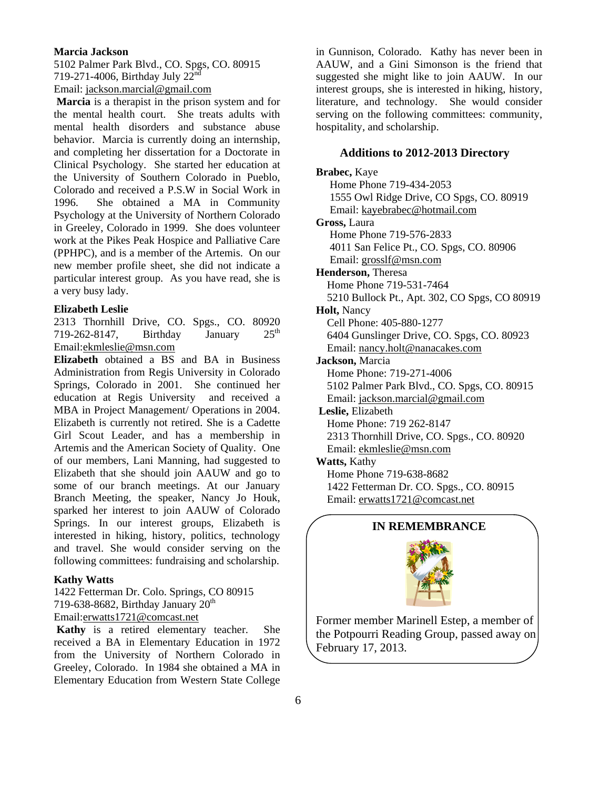#### **Marcia Jackson**

5102 Palmer Park Blvd., CO. Spgs, CO. 80915 719-271-4006, Birthday July 22nd

Email: jackson.marcial@gmail.com

**Marcia** is a therapist in the prison system and for the mental health court. She treats adults with mental health disorders and substance abuse behavior. Marcia is currently doing an internship, and completing her dissertation for a Doctorate in Clinical Psychology. She started her education at the University of Southern Colorado in Pueblo, Colorado and received a P.S.W in Social Work in 1996. She obtained a MA in Community Psychology at the University of Northern Colorado in Greeley, Colorado in 1999. She does volunteer work at the Pikes Peak Hospice and Palliative Care (PPHPC), and is a member of the Artemis. On our new member profile sheet, she did not indicate a particular interest group. As you have read, she is a very busy lady.

#### **Elizabeth Leslie**

2313 Thornhill Drive, CO. Spgs., CO. 80920 719-262-8147, Birthday January  $25<sup>th</sup>$ Email:ekmleslie@msn.com

**Elizabeth** obtained a BS and BA in Business Administration from Regis University in Colorado Springs, Colorado in 2001. She continued her education at Regis University and received a MBA in Project Management/ Operations in 2004. Elizabeth is currently not retired. She is a Cadette Girl Scout Leader, and has a membership in Artemis and the American Society of Quality. One of our members, Lani Manning, had suggested to Elizabeth that she should join AAUW and go to some of our branch meetings. At our January Branch Meeting, the speaker, Nancy Jo Houk, sparked her interest to join AAUW of Colorado Springs. In our interest groups, Elizabeth is interested in hiking, history, politics, technology and travel. She would consider serving on the following committees: fundraising and scholarship.

#### **Kathy Watts**

1422 Fetterman Dr. Colo. Springs, CO 80915 719-638-8682, Birthday January  $20<sup>th</sup>$ Email:erwatts1721@comcast.net

**Kathy** is a retired elementary teacher. She received a BA in Elementary Education in 1972 from the University of Northern Colorado in Greeley, Colorado. In 1984 she obtained a MA in Elementary Education from Western State College in Gunnison, Colorado. Kathy has never been in AAUW, and a Gini Simonson is the friend that suggested she might like to join AAUW. In our interest groups, she is interested in hiking, history, literature, and technology. She would consider serving on the following committees: community, hospitality, and scholarship.

#### **Additions to 2012-2013 Directory**

**Brabec,** Kaye Home Phone 719-434-2053 1555 Owl Ridge Drive, CO Spgs, CO. 80919 Email: kayebrabec@hotmail.com **Gross,** Laura Home Phone 719-576-2833 4011 San Felice Pt., CO. Spgs, CO. 80906 Email: grosslf@msn.com **Henderson,** Theresa Home Phone 719-531-7464 5210 Bullock Pt., Apt. 302, CO Spgs, CO 80919 **Holt,** Nancy Cell Phone: 405-880-1277 6404 Gunslinger Drive, CO. Spgs, CO. 80923 Email: nancy.holt@nanacakes.com **Jackson,** Marcia Home Phone: 719-271-4006 5102 Palmer Park Blvd., CO. Spgs, CO. 80915 Email: jackson.marcial@gmail.com **Leslie,** Elizabeth Home Phone: 719 262-8147 2313 Thornhill Drive, CO. Spgs., CO. 80920 Email: ekmleslie@msn.com **Watts,** Kathy Home Phone 719-638-8682 1422 Fetterman Dr. CO. Spgs., CO. 80915 Email: erwatts1721@comcast.net

#### **IN REMEMBRANCE**



Former member Marinell Estep, a member of the Potpourri Reading Group, passed away on February 17, 2013.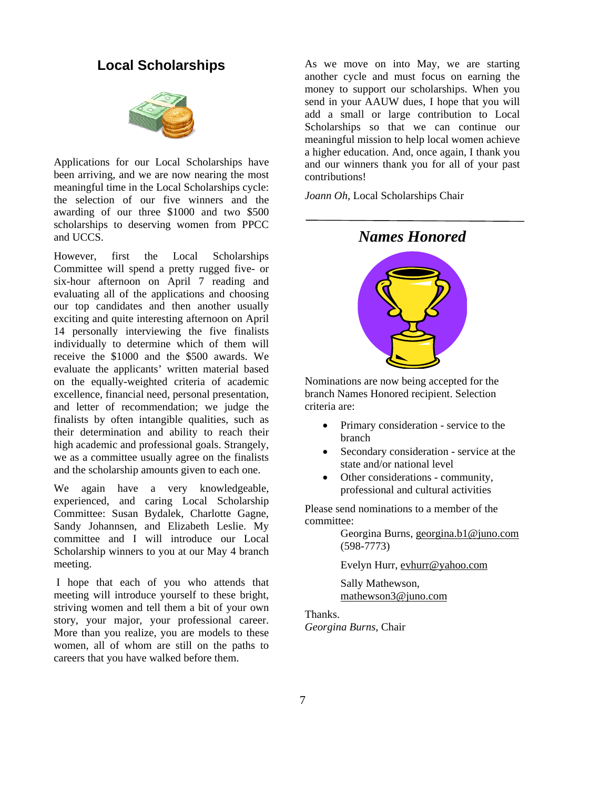# **Local Scholarships**



Applications for our Local Scholarships have been arriving, and we are now nearing the most meaningful time in the Local Scholarships cycle: the selection of our five winners and the awarding of our three \$1000 and two \$500 scholarships to deserving women from PPCC and UCCS.

However, first the Local Scholarships Committee will spend a pretty rugged five- or six-hour afternoon on April 7 reading and evaluating all of the applications and choosing our top candidates and then another usually exciting and quite interesting afternoon on April 14 personally interviewing the five finalists individually to determine which of them will receive the \$1000 and the \$500 awards. We evaluate the applicants' written material based on the equally-weighted criteria of academic excellence, financial need, personal presentation, and letter of recommendation; we judge the finalists by often intangible qualities, such as their determination and ability to reach their high academic and professional goals. Strangely, we as a committee usually agree on the finalists and the scholarship amounts given to each one.

We again have a very knowledgeable, experienced, and caring Local Scholarship Committee: Susan Bydalek, Charlotte Gagne, Sandy Johannsen, and Elizabeth Leslie. My committee and I will introduce our Local Scholarship winners to you at our May 4 branch meeting.

 I hope that each of you who attends that meeting will introduce yourself to these bright, striving women and tell them a bit of your own story, your major, your professional career. More than you realize, you are models to these women, all of whom are still on the paths to careers that you have walked before them.

As we move on into May, we are starting another cycle and must focus on earning the money to support our scholarships. When you send in your AAUW dues, I hope that you will add a small or large contribution to Local Scholarships so that we can continue our meaningful mission to help local women achieve a higher education. And, once again, I thank you and our winners thank you for all of your past contributions!

*Joann Oh*, Local Scholarships Chair

*Names Honored* 

Nominations are now being accepted for the branch Names Honored recipient. Selection criteria are:

- Primary consideration service to the branch
- Secondary consideration service at the state and/or national level
- Other considerations community, professional and cultural activities

Please send nominations to a member of the committee:

> Georgina Burns, georgina.b1@juno.com (598-7773)

Evelyn Hurr, evhurr@yahoo.com

Sally Mathewson, mathewson3@juno.com

#### Thanks.

*Georgina Burns*, Chair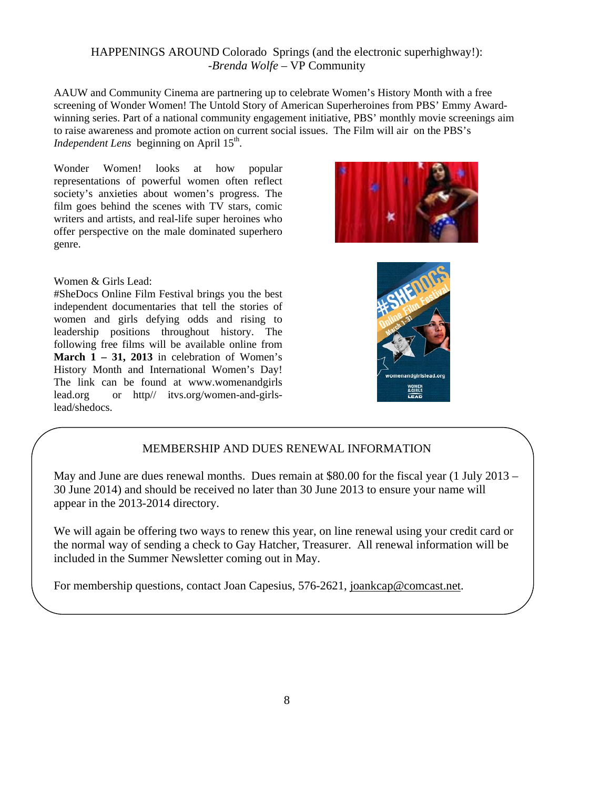## HAPPENINGS AROUND Colorado Springs (and the electronic superhighway!): -*Brenda Wolfe* – VP Community

AAUW and Community Cinema are partnering up to celebrate Women's History Month with a free screening of Wonder Women! The Untold Story of American Superheroines from PBS' Emmy Awardwinning series. Part of a national community engagement initiative, PBS' monthly movie screenings aim to raise awareness and promote action on current social issues. The Film will air on the PBS's *Independent Lens* beginning on April 15<sup>th</sup>.

Wonder Women! looks at how popular representations of powerful women often reflect society's anxieties about women's progress. The film goes behind the scenes with TV stars, comic writers and artists, and real-life super heroines who offer perspective on the male dominated superhero genre.

Women & Girls Lead:

#SheDocs Online Film Festival brings you the best independent documentaries that tell the stories of women and girls defying odds and rising to leadership positions throughout history. The following free films will be available online from **March 1 – 31, 2013** in celebration of Women's History Month and International Women's Day! The link can be found at www.womenandgirls lead.org or http// itvs.org/women-and-girlslead/shedocs.





## MEMBERSHIP AND DUES RENEWAL INFORMATION

May and June are dues renewal months. Dues remain at \$80.00 for the fiscal year (1 July 2013 – 30 June 2014) and should be received no later than 30 June 2013 to ensure your name will appear in the 2013-2014 directory.

We will again be offering two ways to renew this year, on line renewal using your credit card or the normal way of sending a check to Gay Hatcher, Treasurer. All renewal information will be included in the Summer Newsletter coming out in May.

For membership questions, contact Joan Capesius, 576-2621, joankcap@comcast.net.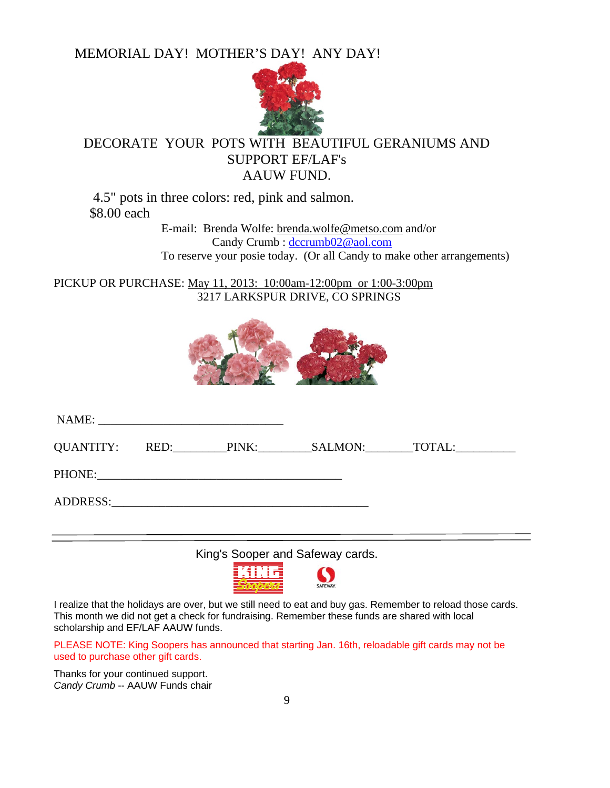MEMORIAL DAY! MOTHER'S DAY! ANY DAY!



# DECORATE YOUR POTS WITH BEAUTIFUL GERANIUMS AND SUPPORT EF/LAF's AAUW FUND.

 4.5" pots in three colors: red, pink and salmon. \$8.00 each

 E-mail: Brenda Wolfe: brenda.wolfe@metso.com and/or Candy Crumb : dccrumb02@aol.com To reserve your posie today. (Or all Candy to make other arrangements)

PICKUP OR PURCHASE: May 11, 2013: 10:00am-12:00pm or 1:00-3:00pm 3217 LARKSPUR DRIVE, CO SPRINGS



|  |                    | QUANTITY: RED: PINK: SALMON: TOTAL: |
|--|--------------------|-------------------------------------|
|  | PHONE: PHONE PHONE |                                     |
|  |                    |                                     |
|  |                    |                                     |

King's Sooper and Safeway cards.



I realize that the holidays are over, but we still need to eat and buy gas. Remember to reload those cards. This month we did not get a check for fundraising. Remember these funds are shared with local scholarship and EF/LAF AAUW funds.

PLEASE NOTE: King Soopers has announced that starting Jan. 16th, reloadable gift cards may not be used to purchase other gift cards.

Thanks for your continued support. *Candy Crumb* -- AAUW Funds chair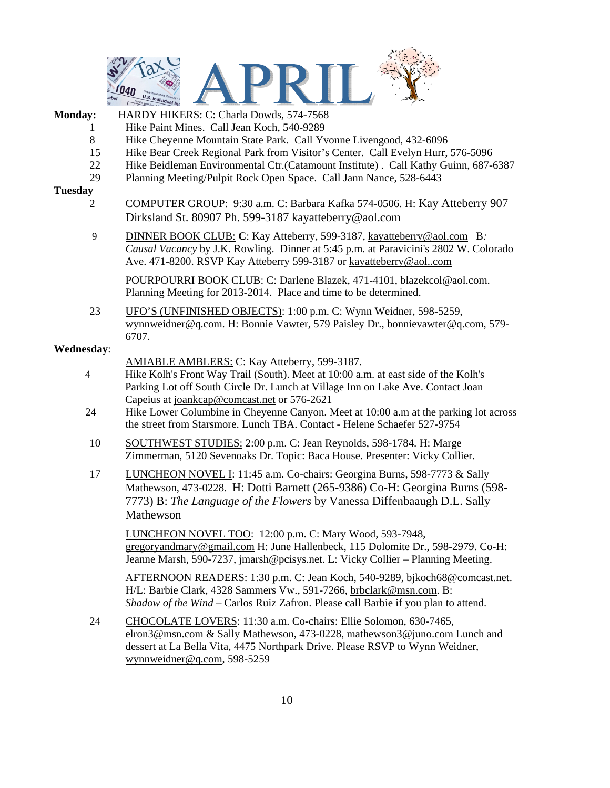

- **Monday:** HARDY HIKERS: C: Charla Dowds, 574-7568 1 Hike Paint Mines. Call Jean Koch, 540-9289
	-
	- 8 Hike Cheyenne Mountain State Park. Call Yvonne Livengood, 432-6096
	- 15 Hike Bear Creek Regional Park from Visitor's Center. Call Evelyn Hurr, 576-5096
	- 22 Hike Beidleman Environmental Ctr.(Catamount Institute). Call Kathy Guinn, 687-6387
	- 29 Planning Meeting/Pulpit Rock Open Space. Call Jann Nance, 528-6443

#### **Tuesday**

- 2 COMPUTER GROUP: 9:30 a.m. C: Barbara Kafka 574-0506. H: Kay Atteberry 907 Dirksland St. 80907 Ph. 599-3187 kayatteberry@aol.com
- 9 DINNER BOOK CLUB: **C**: Kay Atteberry, 599-3187, kayatteberry@aol.com B*: Causal Vacancy* by J.K. Rowling. Dinner at 5:45 p.m. at Paravicini's 2802 W. Colorado Ave. 471-8200. RSVP Kay Atteberry 599-3187 or kayatteberry@aol..com

POURPOURRI BOOK CLUB: C: Darlene Blazek, 471-4101, blazekcol@aol.com. Planning Meeting for 2013-2014. Place and time to be determined.

23 UFO'S (UNFINISHED OBJECTS): 1:00 p.m. C: Wynn Weidner, 598-5259, wynnweidner@q.com. H: Bonnie Vawter, 579 Paisley Dr., bonnievawter@q.com, 579- 6707.

#### **Wednesday**:

- AMIABLE AMBLERS: C: Kay Atteberry, 599-3187.
- 4 Hike Kolh's Front Way Trail (South). Meet at 10:00 a.m. at east side of the Kolh's Parking Lot off South Circle Dr. Lunch at Village Inn on Lake Ave. Contact Joan Capeius at joankcap@comcast.net or 576-2621
- 24 Hike Lower Columbine in Cheyenne Canyon. Meet at 10:00 a.m at the parking lot across the street from Starsmore. Lunch TBA. Contact - Helene Schaefer 527-9754
- 10 SOUTHWEST STUDIES: 2:00 p.m. C: Jean Reynolds, 598-1784. H: Marge Zimmerman, 5120 Sevenoaks Dr. Topic: Baca House. Presenter: Vicky Collier.
- 17 LUNCHEON NOVEL I: 11:45 a.m. Co-chairs: Georgina Burns, 598-7773 & Sally Mathewson, 473-0228. H: Dotti Barnett (265-9386) Co-H: Georgina Burns (598- 7773) B: *The Language of the Flowers* by Vanessa Diffenbaaugh D.L. Sally Mathewson

 LUNCHEON NOVEL TOO: 12:00 p.m. C: Mary Wood, 593-7948, gregoryandmary@gmail.com H: June Hallenbeck, 115 Dolomite Dr., 598-2979. Co-H: Jeanne Marsh, 590-7237, jmarsh@pcisys.net. L: Vicky Collier – Planning Meeting.

 AFTERNOON READERS: 1:30 p.m. C: Jean Koch, 540-9289, bjkoch68@comcast.net. H/L: Barbie Clark, 4328 Sammers Vw., 591-7266, brbclark@msn.com. B: *Shadow of the Wind* – Carlos Ruiz Zafron. Please call Barbie if you plan to attend.

24 CHOCOLATE LOVERS: 11:30 a.m. Co-chairs: Ellie Solomon, 630-7465, elron3@msn.com & Sally Mathewson, 473-0228, mathewson3@juno.com Lunch and dessert at La Bella Vita, 4475 Northpark Drive. Please RSVP to Wynn Weidner, wynnweidner@q.com, 598-5259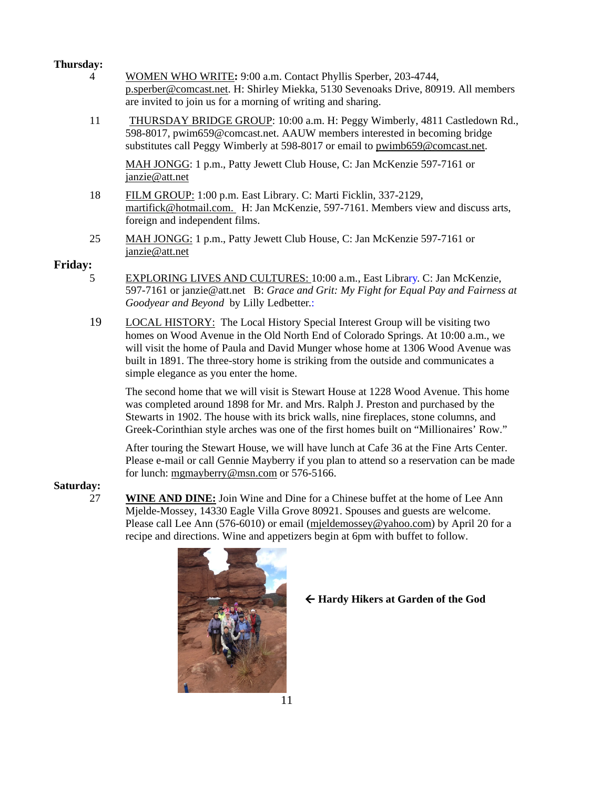#### **Thursday:**

- 4 WOMEN WHO WRITE**:** 9:00 a.m. Contact Phyllis Sperber, 203-4744, p.sperber@comcast.net. H: Shirley Miekka, 5130 Sevenoaks Drive, 80919. All members are invited to join us for a morning of writing and sharing.
- 11 THURSDAY BRIDGE GROUP: 10:00 a.m. H: Peggy Wimberly, 4811 Castledown Rd., 598-8017, pwim659@comcast.net. AAUW members interested in becoming bridge substitutes call Peggy Wimberly at 598-8017 or email to pwimb659@comcast.net.

MAH JONGG: 1 p.m., Patty Jewett Club House, C: Jan McKenzie 597-7161 or janzie@att.net

- 18 FILM GROUP: 1:00 p.m. East Library. C: Marti Ficklin, 337-2129, martifick@hotmail.com. H: Jan McKenzie, 597-7161. Members view and discuss arts, foreign and independent films.
- 25 MAH JONGG: 1 p.m., Patty Jewett Club House, C: Jan McKenzie 597-7161 or janzie@att.net

### **Friday:**

- 5 EXPLORING LIVES AND CULTURES: 10:00 a.m., East Library. C: Jan McKenzie, 597-7161 or janzie@att.netB: *Grace and Grit: My Fight for Equal Pay and Fairness at Goodyear and Beyond* by Lilly Ledbetter.:
- 19 LOCAL HISTORY: The Local History Special Interest Group will be visiting two homes on Wood Avenue in the Old North End of Colorado Springs. At 10:00 a.m., we will visit the home of Paula and David Munger whose home at 1306 Wood Avenue was built in 1891. The three-story home is striking from the outside and communicates a simple elegance as you enter the home.

The second home that we will visit is Stewart House at 1228 Wood Avenue. This home was completed around 1898 for Mr. and Mrs. Ralph J. Preston and purchased by the Stewarts in 1902. The house with its brick walls, nine fireplaces, stone columns, and Greek-Corinthian style arches was one of the first homes built on "Millionaires' Row."

After touring the Stewart House, we will have lunch at Cafe 36 at the Fine Arts Center. Please e-mail or call Gennie Mayberry if you plan to attend so a reservation can be made for lunch: mgmayberry@msn.com or 576-5166.

#### **Saturday:**

27 **WINE AND DINE:** Join Wine and Dine for a Chinese buffet at the home of Lee Ann Mjelde-Mossey, 14330 Eagle Villa Grove 80921. Spouses and guests are welcome. Please call Lee Ann (576-6010) or email (mjeldemossey@yahoo.com) by April 20 for a recipe and directions. Wine and appetizers begin at 6pm with buffet to follow.



 **Hardy Hikers at Garden of the God**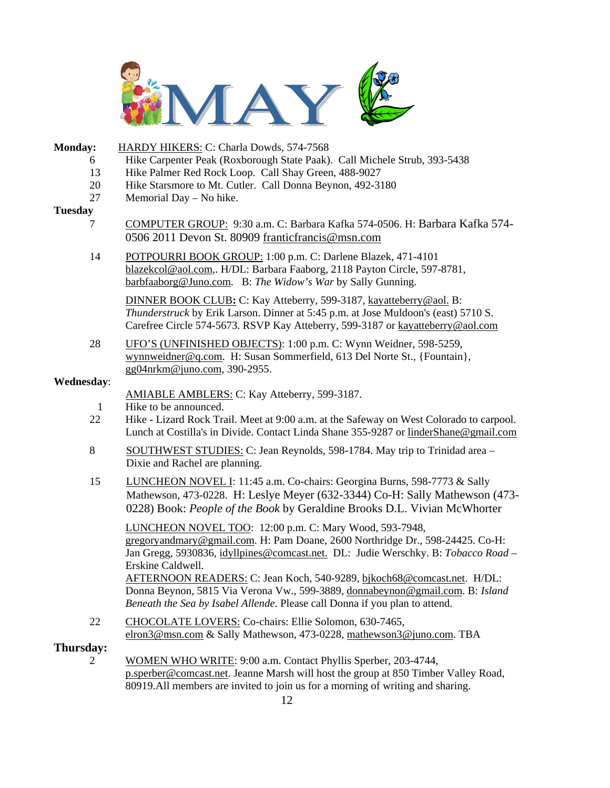

| Monday:            | HARDY HIKERS: C: Charla Dowds, 574-7568                                                                                                                                                                                                                         |
|--------------------|-----------------------------------------------------------------------------------------------------------------------------------------------------------------------------------------------------------------------------------------------------------------|
| 6                  | Hike Carpenter Peak (Roxborough State Paak). Call Michele Strub, 393-5438                                                                                                                                                                                       |
| 13<br>20           | Hike Palmer Red Rock Loop. Call Shay Green, 488-9027<br>Hike Starsmore to Mt. Cutler. Call Donna Beynon, 492-3180                                                                                                                                               |
| 27                 | Memorial Day - No hike.                                                                                                                                                                                                                                         |
| <b>Tuesday</b>     |                                                                                                                                                                                                                                                                 |
| 7                  | COMPUTER GROUP: 9:30 a.m. C: Barbara Kafka 574-0506. H: Barbara Kafka 574-<br>0506 2011 Devon St. 80909 franticfrancis@msn.com                                                                                                                                  |
| 14                 | POTPOURRI BOOK GROUP: 1:00 p.m. C: Darlene Blazek, 471-4101<br>blazekcol@aol.com,. H/DL: Barbara Faaborg, 2118 Payton Circle, 597-8781,<br>barbfaaborg@Juno.com. B: The Widow's War by Sally Gunning.                                                           |
|                    | DINNER BOOK CLUB: C: Kay Atteberry, 599-3187, kayatteberry@aol. B:<br>Thunderstruck by Erik Larson. Dinner at 5:45 p.m. at Jose Muldoon's (east) 5710 S.<br>Carefree Circle 574-5673. RSVP Kay Atteberry, 599-3187 or kayatteberry@aol.com                      |
| 28                 | UFO'S (UNFINISHED OBJECTS): 1:00 p.m. C: Wynn Weidner, 598-5259,<br>wynnweidner@q.com. H: Susan Sommerfield, 613 Del Norte St., {Fountain},<br>gg04nrkm@juno.com, 390-2955.                                                                                     |
| <b>Wednesday:</b>  |                                                                                                                                                                                                                                                                 |
|                    | AMIABLE AMBLERS: C: Kay Atteberry, 599-3187.                                                                                                                                                                                                                    |
| $\mathbf{1}$<br>22 | Hike to be announced.<br>Hike - Lizard Rock Trail. Meet at 9:00 a.m. at the Safeway on West Colorado to carpool.<br>Lunch at Costilla's in Divide. Contact Linda Shane 355-9287 or linderShane@gmail.com                                                        |
| 8                  | SOUTHWEST STUDIES: C: Jean Reynolds, 598-1784. May trip to Trinidad area –<br>Dixie and Rachel are planning.                                                                                                                                                    |
| 15                 | LUNCHEON NOVEL I: 11:45 a.m. Co-chairs: Georgina Burns, 598-7773 & Sally<br>Mathewson, 473-0228. H: Leslye Meyer (632-3344) Co-H: Sally Mathewson (473-<br>0228) Book: People of the Book by Geraldine Brooks D.L. Vivian McWhorter                             |
|                    | LUNCHEON NOVEL TOO: 12:00 p.m. C: Mary Wood, 593-7948,<br>gregoryandmary@gmail.com. H: Pam Doane, 2600 Northridge Dr., 598-24425. Co-H:<br>Jan Gregg, 5930836, <i>idyllpines@comcast.net.</i> DL: Judie Werschky. B: <i>Tobacco Road</i> –<br>Erskine Caldwell. |
|                    | AFTERNOON READERS: C: Jean Koch, 540-9289, bjkoch68@comcast.net. H/DL:<br>Donna Beynon, 5815 Via Verona Vw., 599-3889, donnabeynon@gmail.com. B: Island<br>Beneath the Sea by Isabel Allende. Please call Donna if you plan to attend.                          |
| 22                 | CHOCOLATE LOVERS: Co-chairs: Ellie Solomon, 630-7465,<br>elron3@msn.com & Sally Mathewson, 473-0228, mathewson3@juno.com. TBA                                                                                                                                   |
| Thursday:<br>2     | WOMEN WHO WRITE: 9:00 a.m. Contact Phyllis Sperber, 203-4744,                                                                                                                                                                                                   |
|                    | p.sperber@comcast.net. Jeanne Marsh will host the group at 850 Timber Valley Road,                                                                                                                                                                              |

80919.All members are invited to join us for a morning of writing and sharing.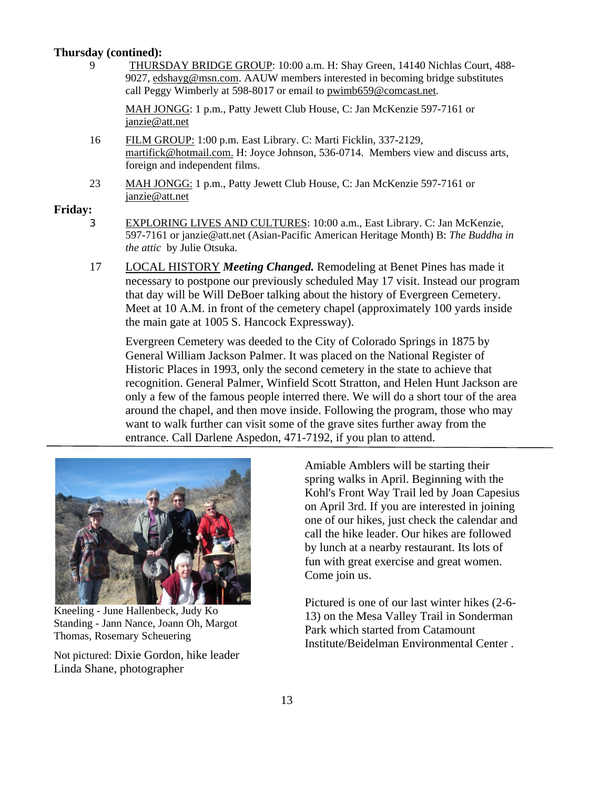#### **Thursday (contined):**

9 THURSDAY BRIDGE GROUP: 10:00 a.m. H: Shay Green, 14140 Nichlas Court, 488- 9027, edshayg@msn.com. AAUW members interested in becoming bridge substitutes call Peggy Wimberly at 598-8017 or email to pwimb659@comcast.net.

MAH JONGG: 1 p.m., Patty Jewett Club House, C: Jan McKenzie 597-7161 or janzie@att.net

- 16 FILM GROUP: 1:00 p.m. East Library. C: Marti Ficklin, 337-2129, martifick@hotmail.com. H: Joyce Johnson, 536-0714. Members view and discuss arts, foreign and independent films.
- 23 MAH JONGG: 1 p.m., Patty Jewett Club House, C: Jan McKenzie 597-7161 or janzie@att.net

#### **Friday:**

- 3 EXPLORING LIVES AND CULTURES: 10:00 a.m., East Library. C: Jan McKenzie, 597-7161 or janzie@att.net (Asian-Pacific American Heritage Month) B: *The Buddha in the attic* by Julie Otsuka.
- 17 LOCAL HISTORY *Meeting Changed.* Remodeling at Benet Pines has made it necessary to postpone our previously scheduled May 17 visit. Instead our program that day will be Will DeBoer talking about the history of Evergreen Cemetery. Meet at 10 A.M. in front of the cemetery chapel (approximately 100 yards inside the main gate at 1005 S. Hancock Expressway).

Evergreen Cemetery was deeded to the City of Colorado Springs in 1875 by General William Jackson Palmer. It was placed on the National Register of Historic Places in 1993, only the second cemetery in the state to achieve that recognition. General Palmer, Winfield Scott Stratton, and Helen Hunt Jackson are only a few of the famous people interred there. We will do a short tour of the area around the chapel, and then move inside. Following the program, those who may want to walk further can visit some of the grave sites further away from the entrance. Call Darlene Aspedon, 471-7192, if you plan to attend.



Kneeling - June Hallenbeck, Judy Ko Standing - Jann Nance, Joann Oh, Margot Thomas, Rosemary Scheuering

Not pictured: Dixie Gordon, hike leader Linda Shane, photographer

Amiable Amblers will be starting their spring walks in April. Beginning with the Kohl's Front Way Trail led by Joan Capesius on April 3rd. If you are interested in joining one of our hikes, just check the calendar and call the hike leader. Our hikes are followed by lunch at a nearby restaurant. Its lots of fun with great exercise and great women. Come join us.

Pictured is one of our last winter hikes (2-6- 13) on the Mesa Valley Trail in Sonderman Park which started from Catamount Institute/Beidelman Environmental Center .